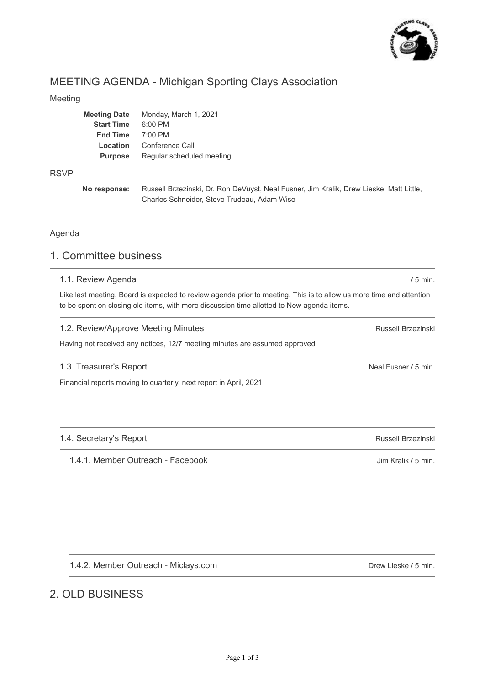

# MEETING AGENDA - Michigan Sporting Clays Association

### Meeting

| <b>Meeting Date</b> | Monday, March 1, 2021     |
|---------------------|---------------------------|
| <b>Start Time</b>   | $6:00$ PM                 |
| <b>End Time</b>     | $7:00$ PM                 |
| Location            | Conference Call           |
| <b>Purpose</b>      | Regular scheduled meeting |
|                     |                           |

#### RSVP

**No response:** Russell Brzezinski, Dr. Ron DeVuyst, Neal Fusner, Jim Kralik, Drew Lieske, Matt Little, Charles Schneider, Steve Trudeau, Adam Wise

## Agenda

## 1. Committee business

#### 1.1. Review Agenda

Like last meeting, Board is expected to review agenda prior to meeting. This is to allow us more time and attention to be spent on closing old items, with more discussion time allotted to New agenda items.

#### Russell Brzezinski 1.2. Review/Approve Meeting Minutes Having not received any notices, 12/7 meeting minutes are assumed approved

## 1.3. Treasurer's Report

Financial reports moving to quarterly. next report in April, 2021

## 1.4. Secretary's Report

1.4.1. Member Outreach - Facebook

1.4.2. Member Outreach - Miclays.com

## 2. OLD BUSINESS

Drew Lieske / 5 min.

Neal Fusner / 5 min.

/ 5 min.

Russell Brzezinski

Jim Kralik / 5 min.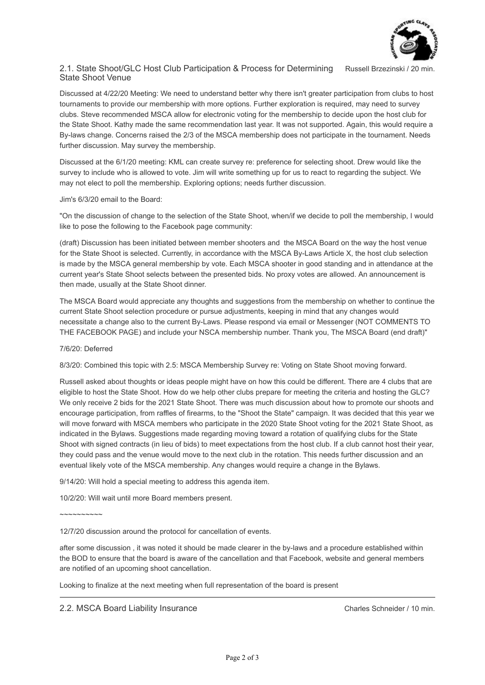

Russell Brzezinski / 20 min.

#### 2.1. State Shoot/GLC Host Club Participation & Process for Determining State Shoot Venue

Discussed at 4/22/20 Meeting: We need to understand better why there isn't greater participation from clubs to host tournaments to provide our membership with more options. Further exploration is required, may need to survey clubs. Steve recommended MSCA allow for electronic voting for the membership to decide upon the host club for the State Shoot. Kathy made the same recommendation last year. It was not supported. Again, this would require a By-laws change. Concerns raised the 2/3 of the MSCA membership does not participate in the tournament. Needs further discussion. May survey the membership.

Discussed at the 6/1/20 meeting: KML can create survey re: preference for selecting shoot. Drew would like the survey to include who is allowed to vote. Jim will write something up for us to react to regarding the subject. We may not elect to poll the membership. Exploring options; needs further discussion.

#### Jim's 6/3/20 email to the Board:

"On the discussion of change to the selection of the State Shoot, when/if we decide to poll the membership, I would like to pose the following to the Facebook page community:

(draft) Discussion has been initiated between member shooters and the MSCA Board on the way the host venue for the State Shoot is selected. Currently, in accordance with the MSCA By-Laws Article X, the host club selection is made by the MSCA general membership by vote. Each MSCA shooter in good standing and in attendance at the current year's State Shoot selects between the presented bids. No proxy votes are allowed. An announcement is then made, usually at the State Shoot dinner.

The MSCA Board would appreciate any thoughts and suggestions from the membership on whether to continue the current State Shoot selection procedure or pursue adjustments, keeping in mind that any changes would necessitate a change also to the current By-Laws. Please respond via email or Messenger (NOT COMMENTS TO THE FACEBOOK PAGE) and include your NSCA membership number. Thank you, The MSCA Board (end draft)"

#### 7/6/20: Deferred

8/3/20: Combined this topic with 2.5: MSCA Membership Survey re: Voting on State Shoot moving forward.

Russell asked about thoughts or ideas people might have on how this could be different. There are 4 clubs that are eligible to host the State Shoot. How do we help other clubs prepare for meeting the criteria and hosting the GLC? We only receive 2 bids for the 2021 State Shoot. There was much discussion about how to promote our shoots and encourage participation, from raffles of firearms, to the "Shoot the State" campaign. It was decided that this year we will move forward with MSCA members who participate in the 2020 State Shoot voting for the 2021 State Shoot, as indicated in the Bylaws. Suggestions made regarding moving toward a rotation of qualifying clubs for the State Shoot with signed contracts (in lieu of bids) to meet expectations from the host club. If a club cannot host their year, they could pass and the venue would move to the next club in the rotation. This needs further discussion and an eventual likely vote of the MSCA membership. Any changes would require a change in the Bylaws.

9/14/20: Will hold a special meeting to address this agenda item.

10/2/20: Will wait until more Board members present.

 $\sim$ ~~~~~~~~

12/7/20 discussion around the protocol for cancellation of events.

after some discussion , it was noted it should be made clearer in the by-laws and a procedure established within the BOD to ensure that the board is aware of the cancellation and that Facebook, website and general members are notified of an upcoming shoot cancellation.

Looking to finalize at the next meeting when full representation of the board is present

Charles Schneider / 10 min.